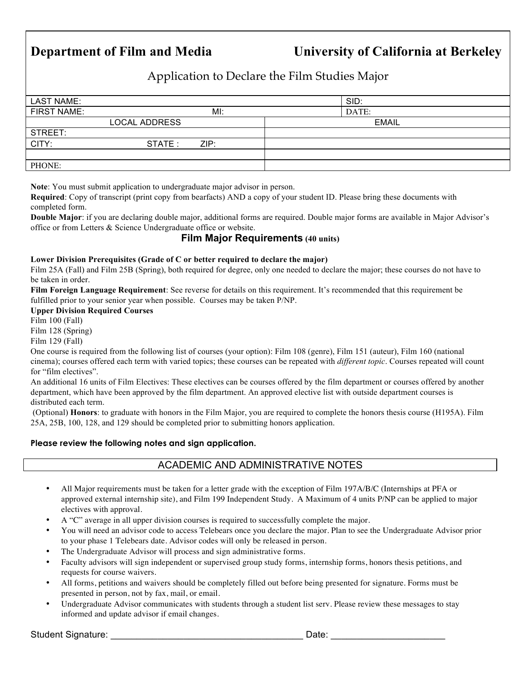# **Department of Film and Media University of California at Berkeley**

Application to Declare the Film Studies Major

| LAST NAME:         |                      |      | SID:         |
|--------------------|----------------------|------|--------------|
| <b>FIRST NAME:</b> |                      | MI:  | DATE:        |
|                    | <b>LOCAL ADDRESS</b> |      | <b>EMAIL</b> |
| STREET:            |                      |      |              |
| CITY:              | STATE :              | ZIP: |              |
|                    |                      |      |              |
| PHONE:             |                      |      |              |

**Note**: You must submit application to undergraduate major advisor in person.

**Required**: Copy of transcript (print copy from bearfacts) AND a copy of your student ID. Please bring these documents with completed form.

**Double Major**: if you are declaring double major, additional forms are required. Double major forms are available in Major Advisor's office or from Letters & Science Undergraduate office or website.

## **Film Major Requirements (40 units)**

#### **Lower Division Prerequisites (Grade of C or better required to declare the major)**

Film 25A (Fall) and Film 25B (Spring), both required for degree, only one needed to declare the major; these courses do not have to be taken in order.

**Film Foreign Language Requirement**: See reverse for details on this requirement. It's recommended that this requirement be fulfilled prior to your senior year when possible. Courses may be taken P/NP.

#### **Upper Division Required Courses**

Film 100 (Fall)

Film 128 (Spring)

Film 129 (Fall)

One course is required from the following list of courses (your option): Film 108 (genre), Film 151 (auteur), Film 160 (national cinema); courses offered each term with varied topics; these courses can be repeated with *different topic*. Courses repeated will count for "film electives".

An additional 16 units of Film Electives: These electives can be courses offered by the film department or courses offered by another department, which have been approved by the film department. An approved elective list with outside department courses is distributed each term.

(Optional) **Honors**: to graduate with honors in the Film Major, you are required to complete the honors thesis course (H195A). Film 25A, 25B, 100, 128, and 129 should be completed prior to submitting honors application.

#### **Please review the following notes and sign application.**

## ACADEMIC AND ADMINISTRATIVE NOTES

- All Major requirements must be taken for a letter grade with the exception of Film 197A/B/C (Internships at PFA or approved external internship site), and Film 199 Independent Study. A Maximum of 4 units P/NP can be applied to major electives with approval.
- A "C" average in all upper division courses is required to successfully complete the major.
- You will need an advisor code to access Telebears once you declare the major. Plan to see the Undergraduate Advisor prior to your phase 1 Telebears date. Advisor codes will only be released in person.
- The Undergraduate Advisor will process and sign administrative forms.
- Faculty advisors will sign independent or supervised group study forms, internship forms, honors thesis petitions, and requests for course waivers.
- All forms, petitions and waivers should be completely filled out before being presented for signature. Forms must be presented in person, not by fax, mail, or email.
- Undergraduate Advisor communicates with students through a student list serv. Please review these messages to stay informed and update advisor if email changes.

Student Signature: \_\_\_\_\_\_\_\_\_\_\_\_\_\_\_\_\_\_\_\_\_\_\_\_\_\_\_\_\_\_\_\_\_\_\_\_\_ Date: \_\_\_\_\_\_\_\_\_\_\_\_\_\_\_\_\_\_\_\_\_\_